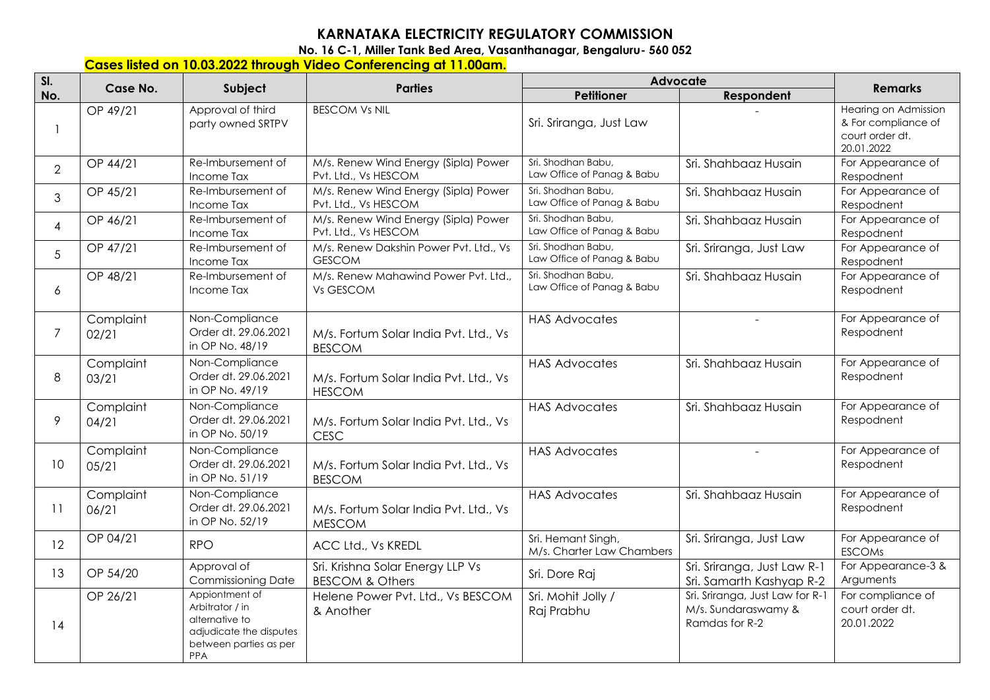## **KARNATAKA ELECTRICITY REGULATORY COMMISSION**

**No. 16 C-1, Miller Tank Bed Area, Vasanthanagar, Bengaluru- 560 052** 

## **Cases listed on 10.03.2022 through Video Conferencing at 11.00am.**

| SI.            | Case No.           | Subject                                                                                                         | <b>Parties</b>                                                 | Advocate                                         |                                                                          | <b>Remarks</b>                                                               |
|----------------|--------------------|-----------------------------------------------------------------------------------------------------------------|----------------------------------------------------------------|--------------------------------------------------|--------------------------------------------------------------------------|------------------------------------------------------------------------------|
| No.            |                    |                                                                                                                 |                                                                | <b>Petitioner</b>                                | Respondent                                                               |                                                                              |
|                | OP 49/21           | Approval of third<br>party owned SRTPV                                                                          | <b>BESCOM Vs NIL</b>                                           | Sri. Sriranga, Just Law                          |                                                                          | Hearing on Admission<br>& For compliance of<br>court order dt.<br>20.01.2022 |
| $\overline{2}$ | OP 44/21           | Re-Imbursement of<br>Income Tax                                                                                 | M/s. Renew Wind Energy (Sipla) Power<br>Pvt. Ltd., Vs HESCOM   | Sri. Shodhan Babu,<br>Law Office of Panag & Babu | Sri. Shahbaaz Husain                                                     | For Appearance of<br>Respodnent                                              |
| 3              | OP 45/21           | Re-Imbursement of<br>Income Tax                                                                                 | M/s. Renew Wind Energy (Sipla) Power<br>Pvt. Ltd., Vs HESCOM   | Sri. Shodhan Babu,<br>Law Office of Panag & Babu | Sri. Shahbaaz Husain                                                     | For Appearance of<br>Respodnent                                              |
| 4              | OP 46/21           | Re-Imbursement of<br>Income Tax                                                                                 | M/s. Renew Wind Energy (Sipla) Power<br>Pvt. Ltd., Vs HESCOM   | Sri. Shodhan Babu,<br>Law Office of Panag & Babu | Sri. Shahbaaz Husain                                                     | For Appearance of<br>Respodnent                                              |
| 5              | OP 47/21           | Re-Imbursement of<br>Income Tax                                                                                 | M/s. Renew Dakshin Power Pvt. Ltd., Vs<br><b>GESCOM</b>        | Sri. Shodhan Babu,<br>Law Office of Panag & Babu | Sri. Sriranga, Just Law                                                  | For Appearance of<br>Respodnent                                              |
| 6              | OP 48/21           | Re-Imbursement of<br>Income Tax                                                                                 | M/s. Renew Mahawind Power Pvt. Ltd.,<br>Vs GESCOM              | Sri. Shodhan Babu,<br>Law Office of Panag & Babu | Sri. Shahbaaz Husain                                                     | For Appearance of<br>Respodnent                                              |
| $\overline{7}$ | Complaint<br>02/21 | Non-Compliance<br>Order dt. 29.06.2021<br>in OP No. 48/19                                                       | M/s. Fortum Solar India Pvt. Ltd., Vs<br><b>BESCOM</b>         | <b>HAS Advocates</b>                             |                                                                          | For Appearance of<br>Respodnent                                              |
| 8              | Complaint<br>03/21 | Non-Compliance<br>Order dt. 29.06.2021<br>in OP No. 49/19                                                       | M/s. Fortum Solar India Pvt. Ltd., Vs<br><b>HESCOM</b>         | <b>HAS Advocates</b>                             | Sri. Shahbaaz Husain                                                     | For Appearance of<br>Respodnent                                              |
| 9              | Complaint<br>04/21 | Non-Compliance<br>Order dt. 29.06.2021<br>in OP No. 50/19                                                       | M/s. Fortum Solar India Pvt. Ltd., Vs<br><b>CESC</b>           | <b>HAS Advocates</b>                             | Sri. Shahbaaz Husain                                                     | For Appearance of<br>Respodnent                                              |
| 10             | Complaint<br>05/21 | Non-Compliance<br>Order dt. 29.06.2021<br>in OP No. 51/19                                                       | M/s. Fortum Solar India Pvt. Ltd., Vs<br><b>BESCOM</b>         | <b>HAS Advocates</b>                             |                                                                          | For Appearance of<br>Respodnent                                              |
| 11             | Complaint<br>06/21 | Non-Compliance<br>Order dt. 29.06.2021<br>in OP No. 52/19                                                       | M/s. Fortum Solar India Pvt. Ltd., Vs<br><b>MESCOM</b>         | <b>HAS Advocates</b>                             | Sri. Shahbaaz Husain                                                     | For Appearance of<br>Respodnent                                              |
| 12             | OP 04/21           | <b>RPO</b>                                                                                                      | ACC Ltd., Vs KREDL                                             | Sri. Hemant Singh,<br>M/s. Charter Law Chambers  | Sri. Sriranga, Just Law                                                  | For Appearance of<br><b>ESCOMs</b>                                           |
| 13             | OP 54/20           | Approval of<br><b>Commissioning Date</b>                                                                        | Sri. Krishna Solar Energy LLP Vs<br><b>BESCOM &amp; Others</b> | Sri. Dore Raj                                    | Sri. Sriranga, Just Law R-1<br>Sri. Samarth Kashyap R-2                  | For Appearance-3 &<br>Arguments                                              |
| 14             | OP 26/21           | Appiontment of<br>Arbitrator / in<br>alternative to<br>adjudicate the disputes<br>between parties as per<br>PPA | Helene Power Pvt. Ltd., Vs BESCOM<br>& Another                 | Sri. Mohit Jolly /<br>Raj Prabhu                 | Sri. Sriranga, Just Law for R-1<br>M/s. Sundaraswamy &<br>Ramdas for R-2 | For compliance of<br>court order dt.<br>20.01.2022                           |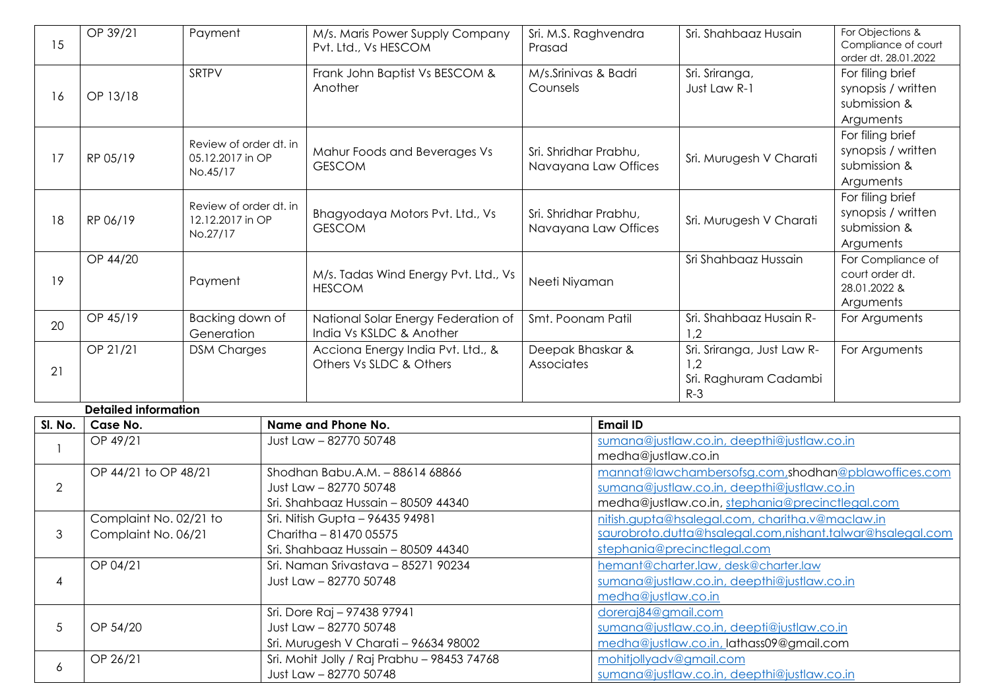| 15             | OP 39/21<br>Payment         |                                                        |                                       | M/s. Maris Power Supply Company<br>Pvt. Ltd., Vs HESCOM         | Sri. M.S. Raghvendra<br>Prasad                |                                                                                                              | Sri. Shahbaaz Husain                                                | For Objections &<br>Compliance of court<br>order dt. 28.01.2022     |
|----------------|-----------------------------|--------------------------------------------------------|---------------------------------------|-----------------------------------------------------------------|-----------------------------------------------|--------------------------------------------------------------------------------------------------------------|---------------------------------------------------------------------|---------------------------------------------------------------------|
| 16             | SRTPV<br>OP 13/18           |                                                        |                                       | Frank John Baptist Vs BESCOM &<br>Another                       | M/s.Srinivas & Badri<br>Counsels              |                                                                                                              | Sri. Sriranga,<br>Just Law R-1                                      | For filing brief<br>synopsis / written<br>submission &<br>Arguments |
| 17             | RP 05/19                    | Review of order dt. in<br>05.12.2017 in OP<br>No.45/17 |                                       | Mahur Foods and Beverages Vs<br><b>GESCOM</b>                   | Sri. Shridhar Prabhu,<br>Navayana Law Offices |                                                                                                              | Sri. Murugesh V Charati                                             | For filing brief<br>synopsis / written<br>submission &<br>Arguments |
| 18             | RP 06/19                    | Review of order dt. in<br>12.12.2017 in OP<br>No.27/17 |                                       | Bhagyodaya Motors Pvt. Ltd., Vs<br><b>GESCOM</b>                | Sri. Shridhar Prabhu,<br>Navayana Law Offices |                                                                                                              | Sri. Murugesh V Charati                                             | For filing brief<br>synopsis / written<br>submission &<br>Arguments |
| 19             | OP 44/20                    | Payment                                                |                                       | M/s. Tadas Wind Energy Pvt. Ltd., Vs<br><b>HESCOM</b>           | Neeti Niyaman                                 |                                                                                                              | Sri Shahbaaz Hussain                                                | For Compliance of<br>court order dt.<br>28.01.2022 &<br>Arguments   |
| 20             | OP 45/19                    | Backing down of<br>Generation                          |                                       | National Solar Energy Federation of<br>India Vs KSLDC & Another | Smt. Poonam Patil                             |                                                                                                              | Sri. Shahbaaz Husain R-<br>1,2                                      | For Arguments                                                       |
| 21             | OP 21/21                    | <b>DSM Charges</b>                                     |                                       | Acciona Energy India Pvt. Ltd., &<br>Others Vs SLDC & Others    | Deepak Bhaskar &<br>Associates                |                                                                                                              | Sri. Sriranga, Just Law R-<br>1,2<br>Sri. Raghuram Cadambi<br>$R-3$ | For Arguments                                                       |
|                | <b>Detailed information</b> |                                                        |                                       |                                                                 |                                               |                                                                                                              |                                                                     |                                                                     |
| SI. No.        | Case No.                    |                                                        |                                       | Name and Phone No.                                              |                                               | <b>Email ID</b>                                                                                              |                                                                     |                                                                     |
| $\mathbf{1}$   | OP 49/21                    |                                                        |                                       | Just Law - 82770 50748                                          |                                               | sumana@justlaw.co.in, deepthi@justlaw.co.in<br>medha@justlaw.co.in                                           |                                                                     |                                                                     |
|                | OP 44/21 to OP 48/21        |                                                        |                                       | Shodhan Babu.A.M. - 88614 68866                                 |                                               | mannat@lawchambersofsg.com.shodhan@pblawoffices.com                                                          |                                                                     |                                                                     |
| $\overline{2}$ |                             |                                                        |                                       | Just Law - 82770 50748                                          |                                               | sumana@justlaw.co.in, deepthi@justlaw.co.in                                                                  |                                                                     |                                                                     |
|                |                             |                                                        |                                       | Sri. Shahbaaz Hussain - 80509 44340                             |                                               | medha@justlaw.co.in, stephania@precinctlegal.com                                                             |                                                                     |                                                                     |
|                | Complaint No. 02/21 to      |                                                        |                                       | Sri. Nitish Gupta - 96435 94981                                 |                                               | nitish.gupta@hsalegal.com, charitha.v@maclaw.in<br>saurobroto.dutta@hsalegal.com,nishant.talwar@hsalegal.com |                                                                     |                                                                     |
| 3              | Complaint No. 06/21         |                                                        |                                       | Charitha - 81470 05575<br>Sri. Shahbaaz Hussain - 80509 44340   |                                               | stephania@precinctlegal.com                                                                                  |                                                                     |                                                                     |
|                | OP 04/21                    |                                                        |                                       | Sri. Naman Srivastava - 85271 90234                             |                                               | hemant@charter.law, desk@charter.law                                                                         |                                                                     |                                                                     |
| 4              |                             |                                                        |                                       | Just Law - 82770 50748                                          |                                               | sumana@justlaw.co.in, deepthi@justlaw.co.in                                                                  |                                                                     |                                                                     |
|                |                             |                                                        |                                       |                                                                 |                                               | medha@justlaw.co.in                                                                                          |                                                                     |                                                                     |
|                | OP 54/20                    |                                                        |                                       | Sri. Dore Raj - 97438 97941<br>Just Law - 82770 50748           |                                               | doreraj84@gmail.com                                                                                          |                                                                     |                                                                     |
| 5              |                             |                                                        |                                       |                                                                 |                                               | sumana@justlaw.co.in, deepti@justlaw.co.in                                                                   |                                                                     |                                                                     |
|                |                             |                                                        | Sri. Murugesh V Charati - 96634 98002 |                                                                 | medha@justlaw.co.in, lathass09@gmail.com      |                                                                                                              |                                                                     |                                                                     |
| 6              | OP 26/21                    |                                                        |                                       | Sri. Mohit Jolly / Raj Prabhu - 98453 74768                     |                                               | mohitjollyadv@gmail.com                                                                                      |                                                                     |                                                                     |
|                |                             |                                                        |                                       | Just Law - 82770 50748                                          |                                               |                                                                                                              | sumana@justlaw.co.in, deepthi@justlaw.co.in                         |                                                                     |